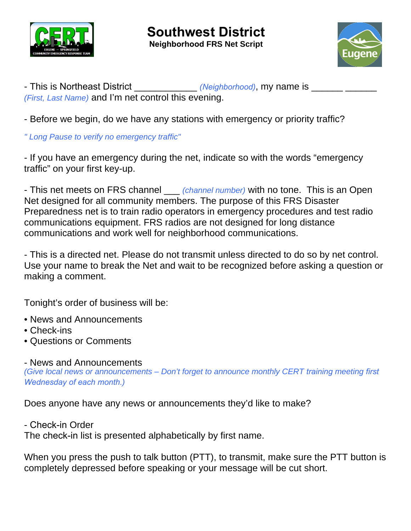

- This is Northeast District \_\_\_\_\_\_\_\_\_\_\_\_\_ *(Neighborhood)*, my name is \_\_\_\_\_\_\_\_ *(First, Last Name)* and I'm net control this evening.

- Before we begin, do we have any stations with emergency or priority traffic?

*" Long Pause to verify no emergency traffic"* 

- If you have an emergency during the net, indicate so with the words "emergency traffic" on your first key-up.

- This net meets on FRS channel \_\_\_ *(channel number)* with no tone. This is an Open Net designed for all community members. The purpose of this FRS Disaster Preparedness net is to train radio operators in emergency procedures and test radio communications equipment. FRS radios are not designed for long distance communications and work well for neighborhood communications.

- This is a directed net. Please do not transmit unless directed to do so by net control. Use your name to break the Net and wait to be recognized before asking a question or making a comment.

Tonight's order of business will be:

- News and Announcements
- Check-ins
- Questions or Comments

- News and Announcements

*(Give local news or announcements – Don't forget to announce monthly CERT training meeting first Wednesday of each month.)*

Does anyone have any news or announcements they'd like to make?

- Check-in Order

The check-in list is presented alphabetically by first name.

When you press the push to talk button (PTT), to transmit, make sure the PTT button is completely depressed before speaking or your message will be cut short.